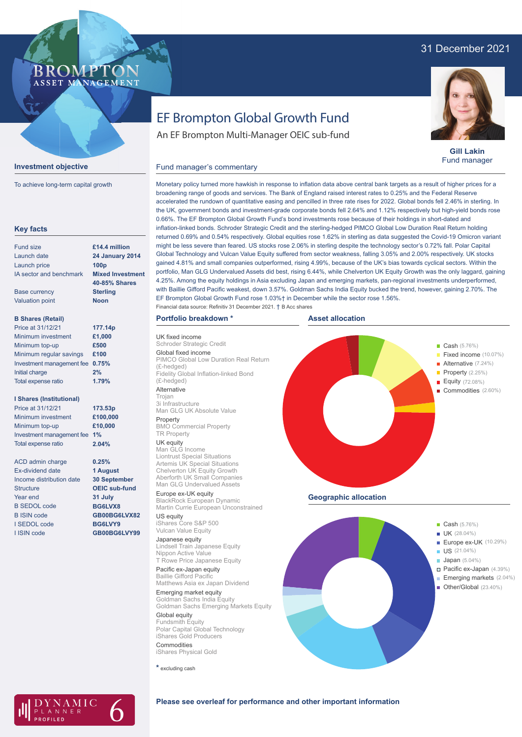# 31 December 2021



**Investment objective**

To achieve long-term capital growth



**Gill Lakin** Fund manager

Fixed income (10.07%)

Property (2.25%) Equity (72.08%) Commodities (2.60%)

# EF Brompton Global Growth Fund

An EF Brompton Multi-Manager OEIC sub-fund

## Fund manager's commentary

**Key facts** Fund size Launch date Launch price IA sector and benchmark Base currency Valuation point **B Shares (Retail)** Minimum investment Minimum top-up Minimum regular savings **£100** Investment management fee **0.75%** Initial charge Total expense ratio **I Shares (Institutional)** Minimum investment Minimum top-up Investment management fee **1%** Total expense ratio ACD admin charge Ex-dividend date Income distribution date **Structure** Year end B SEDOL code B ISIN code I SEDOL code I ISIN code **24 January 2014 100p Mixed Investment 40-85% Shares Sterling Noon £1,000 £500 2% £100,000 £10,000 0.25% 1 August 30 September OEIC sub-fund 31 July BG6LVX8 GB00BG6LVX82 BG6LVY9 GB00BG6LVY99 £14.4 million** Price at 31/12/21 **177.14p** Price at 31/12/21 **173.53p 1.79% 2.04%**

Monetary policy turned more hawkish in response to inflation data above central bank targets as a result of higher prices for a broadening range of goods and services. The Bank of England raised interest rates to 0.25% and the Federal Reserve accelerated the rundown of quantitative easing and pencilled in three rate rises for 2022. Global bonds fell 2.46% in sterling. In the UK, government bonds and investment-grade corporate bonds fell 2.64% and 1.12% respectively but high-yield bonds rose 0.66%. The EF Brompton Global Growth Fund's bond investments rose because of their holdings in short-dated and inflation-linked bonds. Schroder Strategic Credit and the sterling-hedged PIMCO Global Low Duration Real Return holding returned 0.69% and 0.54% respectively. Global equities rose 1.62% in sterling as data suggested the Covid-19 Omicron variant might be less severe than feared. US stocks rose 2.06% in sterling despite the technology sector's 0.72% fall. Polar Capital Global Technology and Vulcan Value Equity suffered from sector weakness, falling 3.05% and 2.00% respectively. UK stocks gained 4.81% and small companies outperformed, rising 4.99%, because of the UK's bias towards cyclical sectors. Within the portfolio, Man GLG Undervalued Assets did best, rising 6.44%, while Chelverton UK Equity Growth was the only laggard, gaining 4.25%. Among the equity holdings in Asia excluding Japan and emerging markets, pan-regional investments underperformed, with Baillie Gifford Pacific weakest, down 3.57%. Goldman Sachs India Equity bucked the trend, however, gaining 2.70%. The EF Brompton Global Growth Fund rose 1.03%† in December while the sector rose 1.56%. Financial data source: Refinitiv 31 December 2021. † B Acc shares

**Asset allocation**

## **Portfolio breakdown \***

UK fixed income **Strategic Credit** Global fixed income PIMCO Global Low Duration Real Return (£-hedged) Fidelity Global Inflation-linked Bond (£-hedged) Alternative Trojan

3i Infrastructure Man GLG UK Absolute Value

Property BMO Commercial Property TR Property

**UK equity**<br>Man GLG Income Liontrust Special Situations Artemis UK Special Situations Chelverton UK Equity Growth Aberforth UK Small Companies Man GLG Undervalued Assets

Europe ex-UK equity BlackRock European Dynamic Martin Currie European Unconstrained

US equity iShares Core S&P 500 Vulcan Value Equity Japanese equity Lindsell Train Japanese Equity

Nippon Active Value T Rowe Price Japanese Equity Pacific ex-Japan equity

Baillie Gifford Pacific Matthews Asia ex Japan Dividend Emerging market equity Goldman Sachs India Equity

Goldman Sachs Emerging Markets Equity Global equity Fundsmith Equity Polar Capital Global Technology iShares Gold Producers Commodities

iShares Physical Gold

**\*** excluding cash



**Cash** (5.76%)

**Alternative** (7.24%)



## **Please see overleaf for performance and other important information**